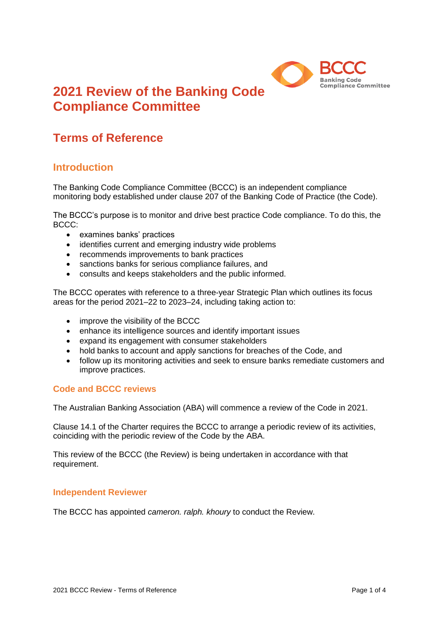

# **2021 Review of the Banking Code Compliance Committee**

## **Terms of Reference**

### **Introduction**

The Banking Code Compliance Committee (BCCC) is an independent compliance monitoring body established under clause 207 of the Banking Code of Practice (the Code).

The BCCC's purpose is to monitor and drive best practice Code compliance. To do this, the BCCC:

- examines banks' practices
- identifies current and emerging industry wide problems
- recommends improvements to bank practices
- sanctions banks for serious compliance failures, and
- consults and keeps stakeholders and the public informed.

The BCCC operates with reference to a three-year Strategic Plan which outlines its focus areas for the period 2021–22 to 2023–24, including taking action to:

- improve the visibility of the BCCC
- enhance its intelligence sources and identify important issues
- expand its engagement with consumer stakeholders
- hold banks to account and apply sanctions for breaches of the Code, and
- follow up its monitoring activities and seek to ensure banks remediate customers and improve practices.

#### **Code and BCCC reviews**

The Australian Banking Association (ABA) will commence a review of the Code in 2021.

Clause 14.1 of the Charter requires the BCCC to arrange a periodic review of its activities, coinciding with the periodic review of the Code by the ABA.

This review of the BCCC (the Review) is being undertaken in accordance with that requirement.

#### **Independent Reviewer**

The BCCC has appointed *cameron. ralph. khoury* to conduct the Review.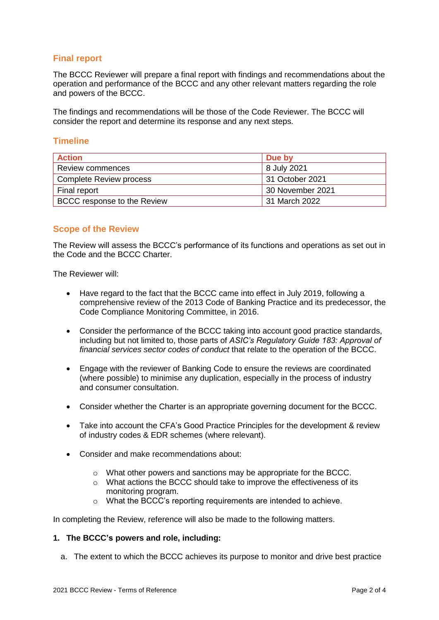#### **Final report**

The BCCC Reviewer will prepare a final report with findings and recommendations about the operation and performance of the BCCC and any other relevant matters regarding the role and powers of the BCCC.

The findings and recommendations will be those of the Code Reviewer. The BCCC will consider the report and determine its response and any next steps.

#### **Timeline**

| <b>Action</b>                      | Due by           |
|------------------------------------|------------------|
| <b>Review commences</b>            | 8 July 2021      |
| Complete Review process            | 31 October 2021  |
| Final report                       | 30 November 2021 |
| <b>BCCC</b> response to the Review | 31 March 2022    |

#### **Scope of the Review**

The Review will assess the BCCC's performance of its functions and operations as set out in the Code and the BCCC Charter.

The Reviewer will:

- Have regard to the fact that the BCCC came into effect in July 2019, following a comprehensive review of the 2013 Code of Banking Practice and its predecessor, the Code Compliance Monitoring Committee, in 2016.
- Consider the performance of the BCCC taking into account good practice standards, including but not limited to, those parts of *ASIC's Regulatory Guide 183: Approval of financial services sector codes of conduct* that relate to the operation of the BCCC.
- Engage with the reviewer of Banking Code to ensure the reviews are coordinated (where possible) to minimise any duplication, especially in the process of industry and consumer consultation.
- Consider whether the Charter is an appropriate governing document for the BCCC.
- Take into account the CFA's Good Practice Principles for the development & review of industry codes & EDR schemes (where relevant).
- Consider and make recommendations about:
	- $\circ$  What other powers and sanctions may be appropriate for the BCCC.
	- o What actions the BCCC should take to improve the effectiveness of its monitoring program.
	- o What the BCCC's reporting requirements are intended to achieve.

In completing the Review, reference will also be made to the following matters.

#### **1. The BCCC's powers and role, including:**

a. The extent to which the BCCC achieves its purpose to monitor and drive best practice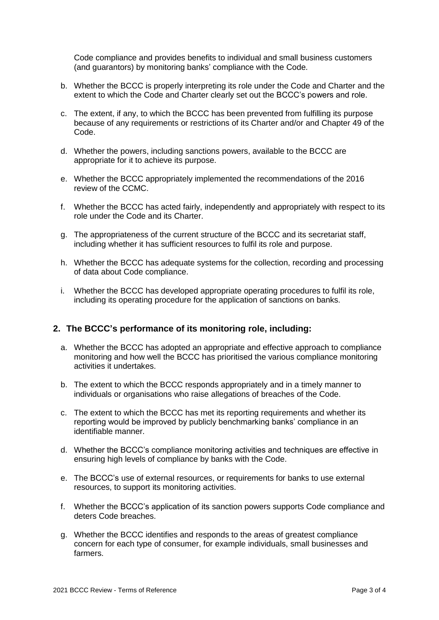Code compliance and provides benefits to individual and small business customers (and guarantors) by monitoring banks' compliance with the Code.

- b. Whether the BCCC is properly interpreting its role under the Code and Charter and the extent to which the Code and Charter clearly set out the BCCC's powers and role.
- c. The extent, if any, to which the BCCC has been prevented from fulfilling its purpose because of any requirements or restrictions of its Charter and/or and Chapter 49 of the Code.
- d. Whether the powers, including sanctions powers, available to the BCCC are appropriate for it to achieve its purpose.
- e. Whether the BCCC appropriately implemented the recommendations of the 2016 review of the CCMC.
- f. Whether the BCCC has acted fairly, independently and appropriately with respect to its role under the Code and its Charter.
- g. The appropriateness of the current structure of the BCCC and its secretariat staff, including whether it has sufficient resources to fulfil its role and purpose.
- h. Whether the BCCC has adequate systems for the collection, recording and processing of data about Code compliance.
- i. Whether the BCCC has developed appropriate operating procedures to fulfil its role, including its operating procedure for the application of sanctions on banks.

#### **2. The BCCC's performance of its monitoring role, including:**

- a. Whether the BCCC has adopted an appropriate and effective approach to compliance monitoring and how well the BCCC has prioritised the various compliance monitoring activities it undertakes.
- b. The extent to which the BCCC responds appropriately and in a timely manner to individuals or organisations who raise allegations of breaches of the Code.
- c. The extent to which the BCCC has met its reporting requirements and whether its reporting would be improved by publicly benchmarking banks' compliance in an identifiable manner.
- d. Whether the BCCC's compliance monitoring activities and techniques are effective in ensuring high levels of compliance by banks with the Code.
- e. The BCCC's use of external resources, or requirements for banks to use external resources, to support its monitoring activities.
- f. Whether the BCCC's application of its sanction powers supports Code compliance and deters Code breaches.
- g. Whether the BCCC identifies and responds to the areas of greatest compliance concern for each type of consumer, for example individuals, small businesses and farmers.